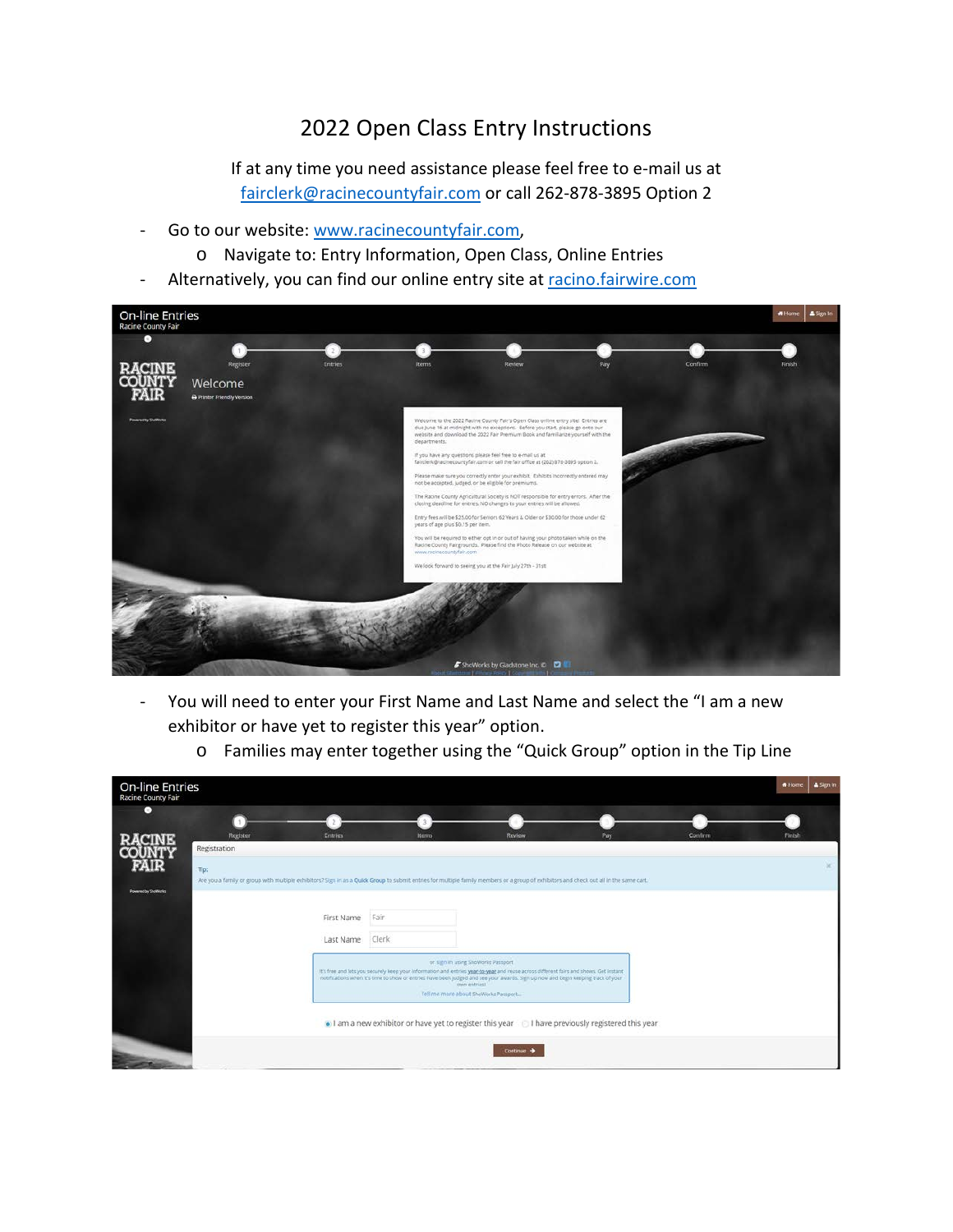## 2022 Open Class Entry Instructions

If at any time you need assistance please feel free to e-mail us at [fairclerk@racinecountyfair.com](mailto:fairclerk@racinecountyfair.com) or call 262-878-3895 Option 2

- Go to our website: [www.racinecountyfair.com,](http://www.racinecountyfair.com/)
	- o Navigate to: Entry Information, Open Class, Online Entries
- Alternatively, you can find our online entry site at racino.fairwire.com



- You will need to enter your First Name and Last Name and select the "I am a new exhibitor or have yet to register this year" option.

|  |  |  |  | o Families may enter together using the "Quick Group" option in the Tip Line |
|--|--|--|--|------------------------------------------------------------------------------|
|--|--|--|--|------------------------------------------------------------------------------|

| <b>On-line Entries</b><br><b>Racine County Fair</b> |                          |                |              |                                                                                                                                                                                                                                                                                                                                                                           |     |         | & Sign In<br><b>*</b> Home |
|-----------------------------------------------------|--------------------------|----------------|--------------|---------------------------------------------------------------------------------------------------------------------------------------------------------------------------------------------------------------------------------------------------------------------------------------------------------------------------------------------------------------------------|-----|---------|----------------------------|
| o                                                   |                          |                |              |                                                                                                                                                                                                                                                                                                                                                                           |     |         |                            |
|                                                     | Register<br>Registration | <b>Entries</b> | <b>Items</b> | Review                                                                                                                                                                                                                                                                                                                                                                    | Pay | Confirm | Finish                     |
| FAIR<br>Powered by ShoWorks                         | Tip:                     |                |              | Are you a family or group with multiple exhibitors? Sign in as a Quick Group to submit entries for multiple family members or a group of exhibitors and check out all in the same cart.                                                                                                                                                                                   |     |         |                            |
|                                                     |                          | First Name     | Fair         |                                                                                                                                                                                                                                                                                                                                                                           |     |         |                            |
|                                                     |                          | Last Name      | Clerk        |                                                                                                                                                                                                                                                                                                                                                                           |     |         |                            |
|                                                     |                          |                |              | or sign in using ShoWorks Passport<br>It's free and lets you securely keep your information and entries year to year and reuse across different fairs and shows. Get instant<br>notifications when it's time to show or entries have been judged and see your awards. Sign up now and begin keeping track of your<br>dwn entriest<br>Tell me more about ShoWorks Passport |     |         |                            |
|                                                     |                          |                |              | I am a new exhibitor or have yet to register this year I have previously registered this year                                                                                                                                                                                                                                                                             |     |         |                            |
|                                                     |                          |                |              | Continue >                                                                                                                                                                                                                                                                                                                                                                |     |         |                            |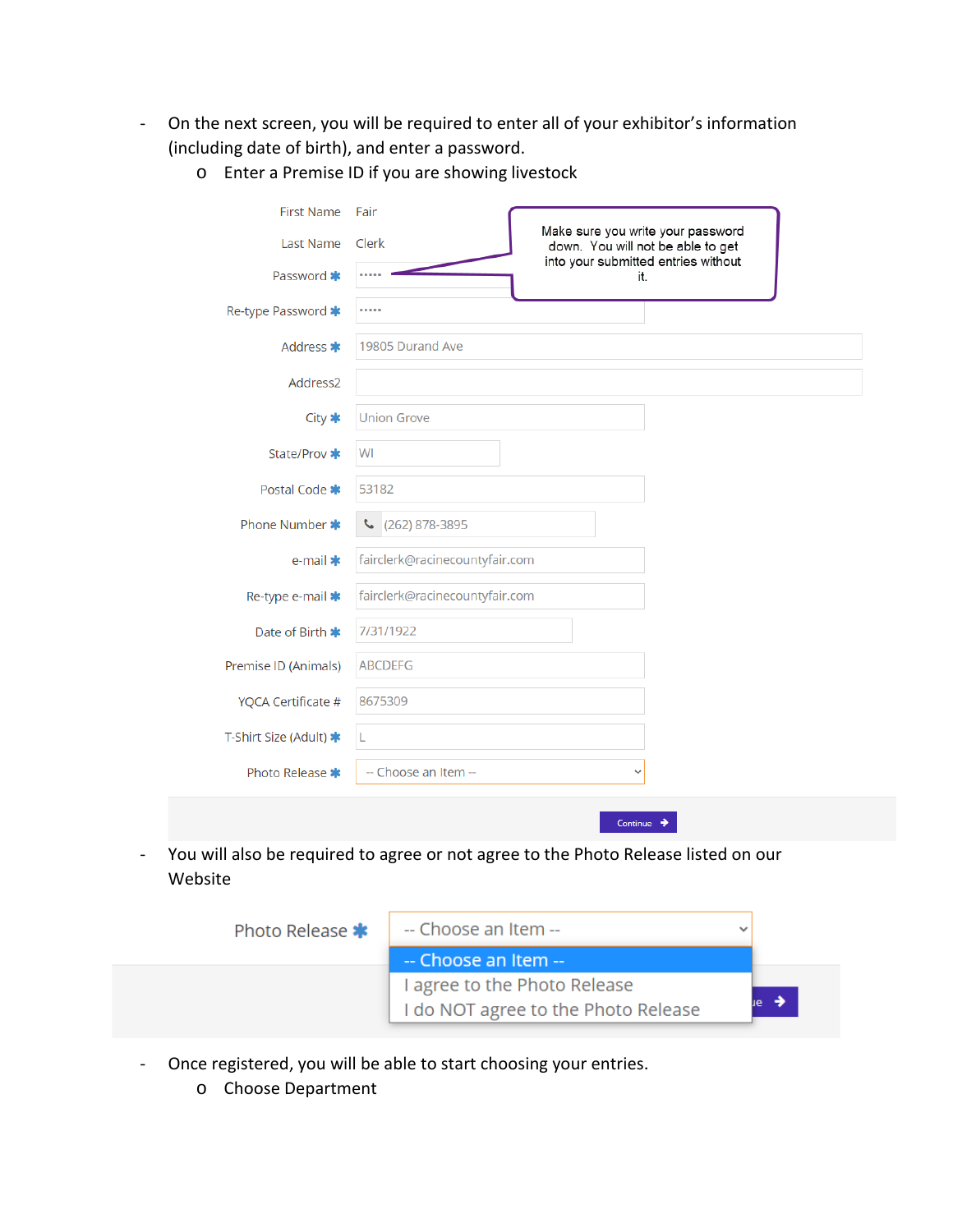- On the next screen, you will be required to enter all of your exhibitor's information (including date of birth), and enter a password.

| <b>First Name</b><br><b>Last Name</b> | Fair<br>Make sure you write your password<br>Clerk<br>down. You will not be able to get |  |
|---------------------------------------|-----------------------------------------------------------------------------------------|--|
| Password *                            | into your submitted entries without<br>it.                                              |  |
| Re-type Password *                    |                                                                                         |  |
| Address *                             | 19805 Durand Ave                                                                        |  |
| Address2                              |                                                                                         |  |
| City <b>*</b>                         | <b>Union Grove</b>                                                                      |  |
| State/Prov *                          | WI                                                                                      |  |
| Postal Code *                         | 53182                                                                                   |  |
| Phone Number *                        | (262) 878-3895<br>J                                                                     |  |
| e-mail $*$                            | fairclerk@racinecountyfair.com                                                          |  |
| Re-type e-mail *                      | fairclerk@racinecountyfair.com                                                          |  |
| Date of Birth *                       | 7/31/1922                                                                               |  |
| Premise ID (Animals)                  | <b>ABCDEFG</b>                                                                          |  |
| YQCA Certificate #                    | 8675309                                                                                 |  |
| T-Shirt Size (Adult) *                | L                                                                                       |  |
| Photo Release *                       | -- Choose an Item --                                                                    |  |

o Enter a Premise ID if you are showing livestock

- You will also be required to agree or not agree to the Photo Release listed on our Website



- Once registered, you will be able to start choosing your entries.
	- o Choose Department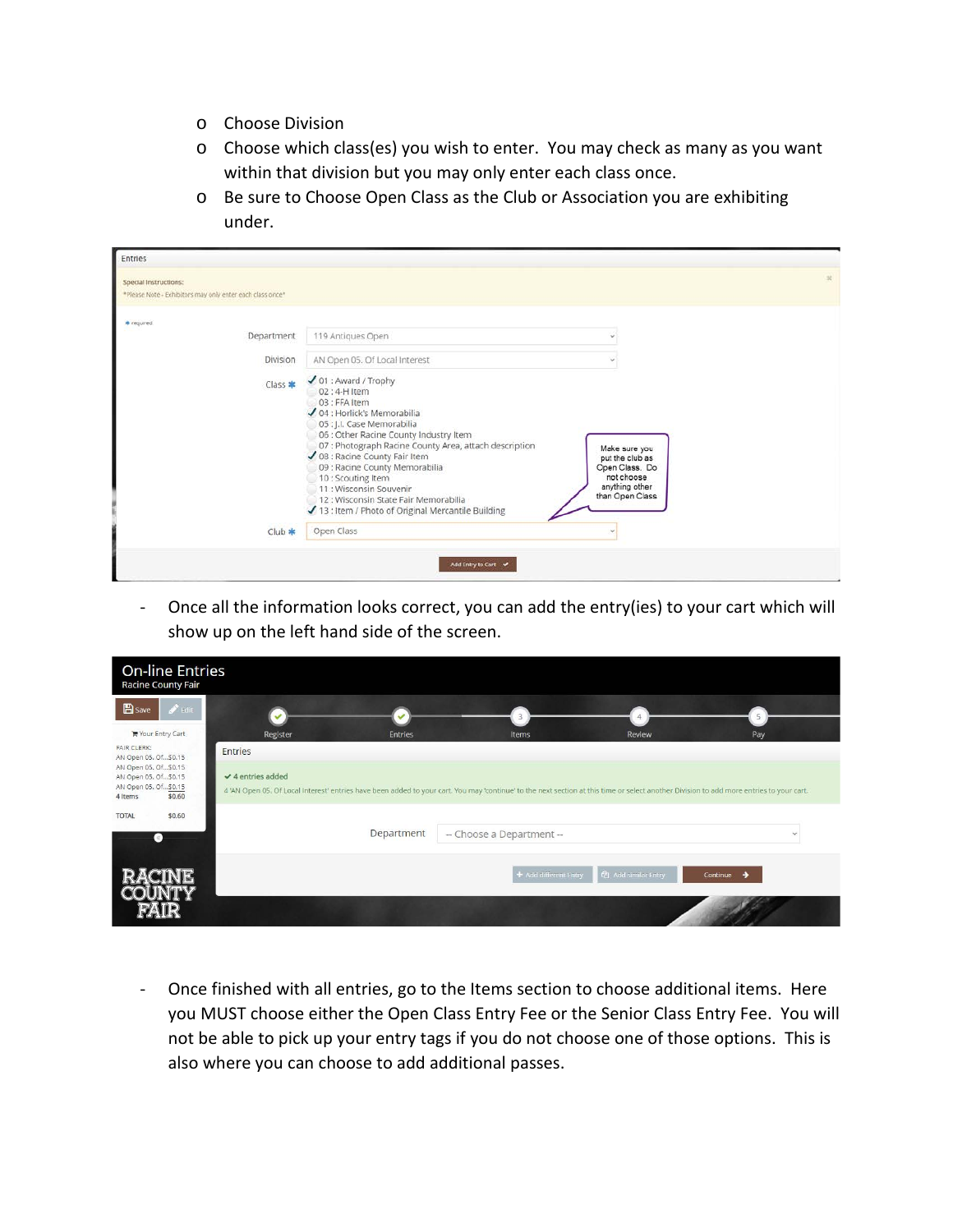- o Choose Division
- o Choose which class(es) you wish to enter. You may check as many as you want within that division but you may only enter each class once.
- o Be sure to Choose Open Class as the Club or Association you are exhibiting under.

| * required<br>119 Antiques Open<br>Department<br>Division<br>AN Open 05. Of Local Interest<br>$\sqrt{01}$ : Award / Trophy<br>$Class$ $*$<br>02 : 4-H Item<br>03 : FFA Item<br>√ 04 : Horlick's Memorabilia<br>05 : J.I. Case Memorabilia<br>06 : Other Racine County Industry Item<br>07 : Photograph Racine County Area, attach description<br>Make sure you<br>✔ 08 : Racine County Fair Item<br>put the club as<br>09 : Racine County Memorabilia<br>Open Class. Do<br>not choose.<br>10: Scouting Item<br>anything other<br>11: Wisconsin Souvenir<br>than Open Class<br>12 : Wisconsin State Fair Memorabilia<br>13 : Item / Photo of Original Mercantile Building | Special Instructions:                                     |  |  |
|--------------------------------------------------------------------------------------------------------------------------------------------------------------------------------------------------------------------------------------------------------------------------------------------------------------------------------------------------------------------------------------------------------------------------------------------------------------------------------------------------------------------------------------------------------------------------------------------------------------------------------------------------------------------------|-----------------------------------------------------------|--|--|
|                                                                                                                                                                                                                                                                                                                                                                                                                                                                                                                                                                                                                                                                          | *Please Note - Exhibitors may only enter each class once* |  |  |
|                                                                                                                                                                                                                                                                                                                                                                                                                                                                                                                                                                                                                                                                          |                                                           |  |  |
|                                                                                                                                                                                                                                                                                                                                                                                                                                                                                                                                                                                                                                                                          |                                                           |  |  |
|                                                                                                                                                                                                                                                                                                                                                                                                                                                                                                                                                                                                                                                                          |                                                           |  |  |
|                                                                                                                                                                                                                                                                                                                                                                                                                                                                                                                                                                                                                                                                          |                                                           |  |  |
| Open Class<br>$Club$ $*$                                                                                                                                                                                                                                                                                                                                                                                                                                                                                                                                                                                                                                                 |                                                           |  |  |

- Once all the information looks correct, you can add the entry(ies) to your cart which will show up on the left hand side of the screen.

| <b>On-line Entries</b><br><b>Racine County Fair</b>                                       |                                       |                                                                                                                                                                                          |               |
|-------------------------------------------------------------------------------------------|---------------------------------------|------------------------------------------------------------------------------------------------------------------------------------------------------------------------------------------|---------------|
| <b>E</b> Save<br>$\blacktriangleright$ Edit                                               |                                       |                                                                                                                                                                                          | 5             |
| <b>★ Your Entry Cart</b><br><b>FAIR CLERK:</b><br>AN Open 05. Of\$0.15                    | Register<br>Entries<br><b>Entries</b> | Review<br>Items                                                                                                                                                                          | Pay           |
| AN Open 05. Of\$0.15<br>AN Open 05. Of\$0.15<br>AN Open 05. Of\$0.15<br>\$0.60<br>4 Items | $\vee$ 4 entries added                | 4 'AN Open 05. Of Local Interest' entries have been added to your cart. You may 'continue' to the next section at this time or select another Division to add more entries to your cart. |               |
| \$0.60<br><b>TOTAL</b><br>$(\ll)$                                                         | Department                            | -- Choose a Department --                                                                                                                                                                | $\checkmark$  |
|                                                                                           |                                       | + Add different Entry<br><sup>(2</sup> ] Add similar Entry                                                                                                                               | Continue<br>→ |

- Once finished with all entries, go to the Items section to choose additional items. Here you MUST choose either the Open Class Entry Fee or the Senior Class Entry Fee. You will not be able to pick up your entry tags if you do not choose one of those options. This is also where you can choose to add additional passes.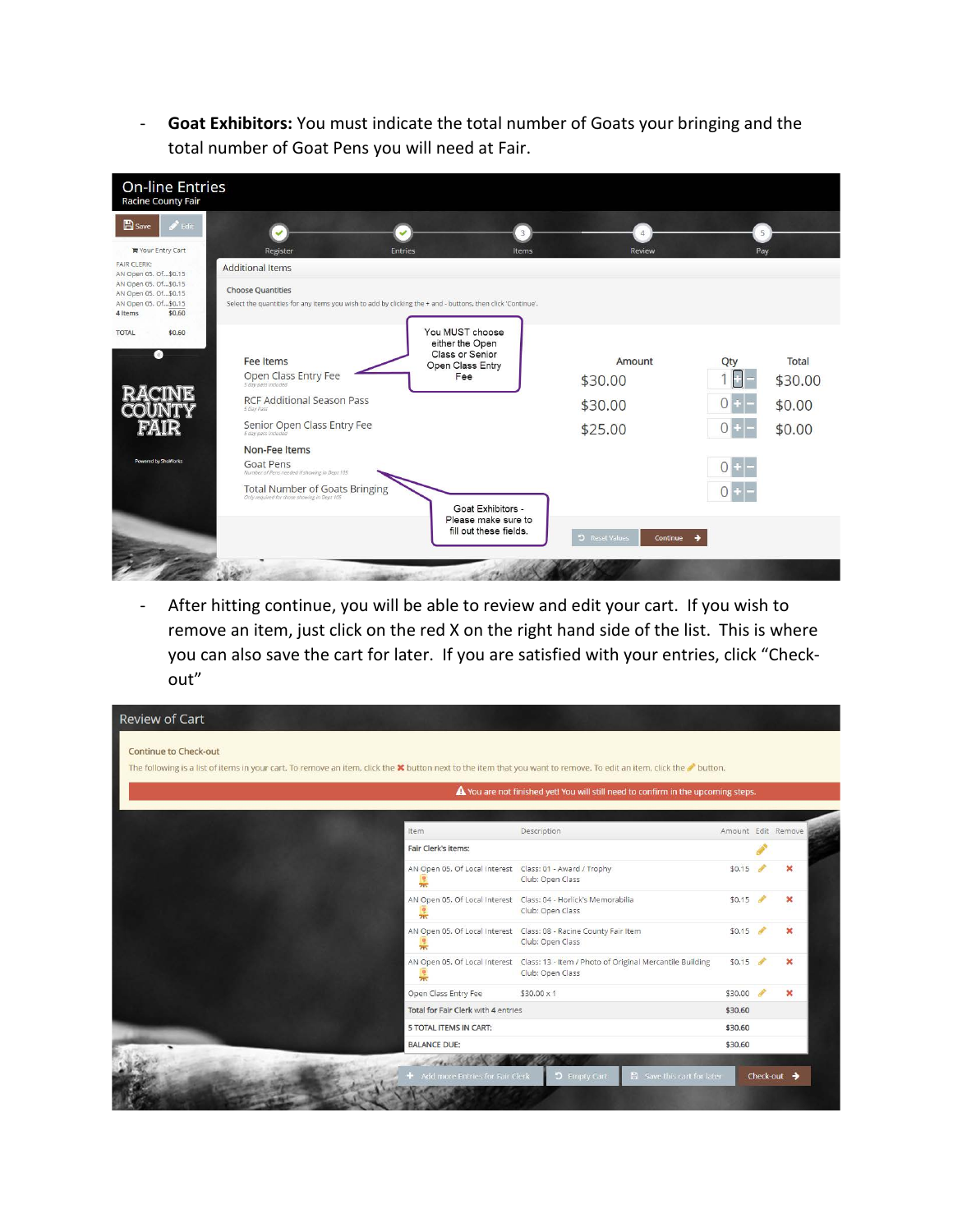- **Goat Exhibitors:** You must indicate the total number of Goats your bringing and the total number of Goat Pens you will need at Fair.

| <b>On-line Entries</b><br><b>Racine County Fair</b>                                       |                                                                                                                                                             |                |                                                                                  |                                          |       |                                      |
|-------------------------------------------------------------------------------------------|-------------------------------------------------------------------------------------------------------------------------------------------------------------|----------------|----------------------------------------------------------------------------------|------------------------------------------|-------|--------------------------------------|
| $B$ Save<br>$\mathscr{L}$ Fdit                                                            |                                                                                                                                                             |                |                                                                                  |                                          | 5     |                                      |
| ■ Your Entry Cart                                                                         | Register                                                                                                                                                    | <b>Entries</b> | Items                                                                            | Review                                   | Pay   |                                      |
| <b>FAIR CLERK:</b><br>AN Open 05, Of\$0.15                                                | <b>Additional Items</b>                                                                                                                                     |                |                                                                                  |                                          |       |                                      |
| AN Open 05. Of\$0.15<br>AN Open 05. Of\$0.15<br>AN Open 05. Of\$0.15<br>\$0,60<br>4 Items | <b>Choose Quantities</b><br>Select the quantities for any items you wish to add by clicking the + and - buttons, then click 'Continue'.                     |                |                                                                                  |                                          |       |                                      |
| \$0,60<br><b>TOTAL</b><br>Q.                                                              | Fee Items<br>Open Class Entry Fee<br>5 day pass included<br><b>RCF Additional Season Pass</b><br>5 Day Pass<br>Senior Open Class Entry Fee<br>Non-Fee Items |                | You MUST choose<br>either the Open<br>Class or Senior<br>Open Class Entry<br>Fee | Amount<br>\$30.00<br>\$30.00<br>\$25.00  | Qty   | Total<br>\$30.00<br>\$0.00<br>\$0.00 |
| Powered by ShoWorks                                                                       | Goat Pens<br>Number of Pens needed if showing in Dept 105<br><b>Total Number of Goats Bringing</b><br>Only required for those showing in Dept 105           |                |                                                                                  |                                          | $0 +$ |                                      |
|                                                                                           |                                                                                                                                                             |                | Goat Exhibitors -<br>Please make sure to<br>fill out these fields.               | 5 Reset Values<br>Continue $\rightarrow$ |       |                                      |

- After hitting continue, you will be able to review and edit your cart. If you wish to remove an item, just click on the red X on the right hand side of the list. This is where you can also save the cart for later. If you are satisfied with your entries, click "Checkout"

|                                                                            | The following is a list of items in your cart. To remove an item, click the $\bm{x}$ button next to the item that you want to remove. To edit an item, click the <b>button</b> .<br>$\triangle$ You are not finished yet! You will still need to confirm in the upcoming steps. |                    |   |
|----------------------------------------------------------------------------|---------------------------------------------------------------------------------------------------------------------------------------------------------------------------------------------------------------------------------------------------------------------------------|--------------------|---|
| Item                                                                       | Description                                                                                                                                                                                                                                                                     | Amount Edit Remove |   |
| Fair Clerk's items:                                                        |                                                                                                                                                                                                                                                                                 |                    |   |
| AN Open 05. Of Local Interest Class: 01 - Award / Trophy<br>$\frac{1}{2N}$ | Club: Open Class                                                                                                                                                                                                                                                                | \$0.15             |   |
| 훆                                                                          | AN Open 05, Of Local Interest  Class: 04 - Horlick's Memorabilia<br>Club: Open Class                                                                                                                                                                                            | \$0.15             | × |
| 7 <sup>1</sup>                                                             | AN Open 05. Of Local Interest Class: 08 - Racine County Fair Item<br>Club: Open Class                                                                                                                                                                                           | \$0.15             | × |
| 785                                                                        | AN Open 05. Of Local Interest Class: 13 - Item / Photo of Original Mercantile Building<br>Club: Open Class                                                                                                                                                                      | \$0.15             | × |
| Open Class Entry Fee                                                       | $$30.00 \times 1$                                                                                                                                                                                                                                                               | \$30.00            | × |
| Total for Fair Clerk with 4 entries                                        |                                                                                                                                                                                                                                                                                 | \$30.60            |   |
| 5 TOTAL ITEMS IN CART:                                                     |                                                                                                                                                                                                                                                                                 | \$30.60            |   |
| <b>BALANCE DUE:</b>                                                        |                                                                                                                                                                                                                                                                                 | \$30.60            |   |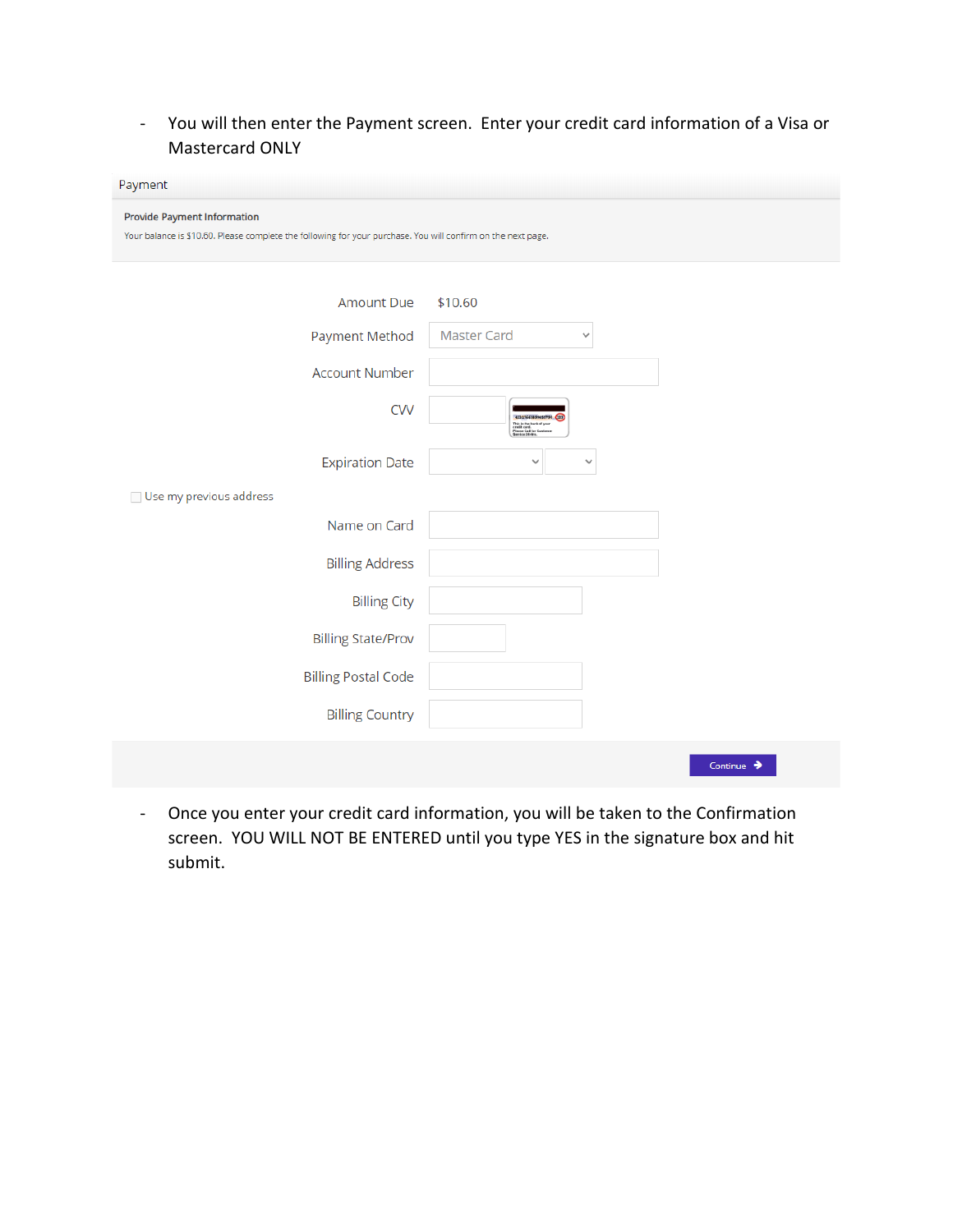- You will then enter the Payment screen. Enter your credit card information of a Visa or Mastercard ONLY

| Payment                                                                                                                                            |                                                                                                                   |                        |
|----------------------------------------------------------------------------------------------------------------------------------------------------|-------------------------------------------------------------------------------------------------------------------|------------------------|
| <b>Provide Payment Information</b><br>Your balance is \$10.60. Please complete the following for your purchase. You will confirm on the next page. |                                                                                                                   |                        |
| <b>Amount Due</b>                                                                                                                                  | \$10.60                                                                                                           |                        |
| Payment Method                                                                                                                                     | <b>Master Card</b><br>$\checkmark$                                                                                |                        |
| <b>Account Number</b>                                                                                                                              |                                                                                                                   |                        |
| <b>CVV</b>                                                                                                                                         | 42317665899455790 (123)<br>This is the back of your<br>credit card.<br>Please Call for Custome<br>Service 24-Hrs. |                        |
| <b>Expiration Date</b>                                                                                                                             | ✓<br>◡                                                                                                            |                        |
| Use my previous address                                                                                                                            |                                                                                                                   |                        |
| Name on Card                                                                                                                                       |                                                                                                                   |                        |
| <b>Billing Address</b>                                                                                                                             |                                                                                                                   |                        |
| <b>Billing City</b>                                                                                                                                |                                                                                                                   |                        |
| <b>Billing State/Prov</b>                                                                                                                          |                                                                                                                   |                        |
| <b>Billing Postal Code</b>                                                                                                                         |                                                                                                                   |                        |
| <b>Billing Country</b>                                                                                                                             |                                                                                                                   |                        |
|                                                                                                                                                    |                                                                                                                   | Continue $\rightarrow$ |

- Once you enter your credit card information, you will be taken to the Confirmation screen. YOU WILL NOT BE ENTERED until you type YES in the signature box and hit submit.